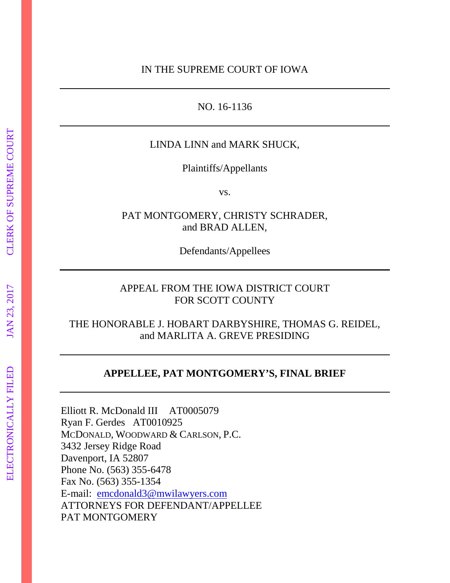NO. 16-1136

## LINDA LINN and MARK SHUCK,

Plaintiffs/Appellants

vs.

PAT MONTGOMERY, CHRISTY SCHRADER, and BRAD ALLEN,

Defendants/Appellees

# APPEAL FROM THE IOWA DISTRICT COURT FOR SCOTT COUNTY

# THE HONORABLE J. HOBART DARBYSHIRE, THOMAS G. REIDEL, and MARLITA A. GREVE PRESIDING

# **APPELLEE, PAT MONTGOMERY'S, FINAL BRIEF**

Elliott R. McDonald III AT0005079 Ryan F. Gerdes AT0010925 MCDONALD, WOODWARD & CARLSON, P.C. 3432 Jersey Ridge Road Davenport, IA 52807 Phone No. (563) 355-6478 Fax No. (563) 355-1354 E-mail: emcdonald3@mwilawyers.com ATTORNEYS FOR DEFENDANT/APPELLEE PAT MONTGOMERY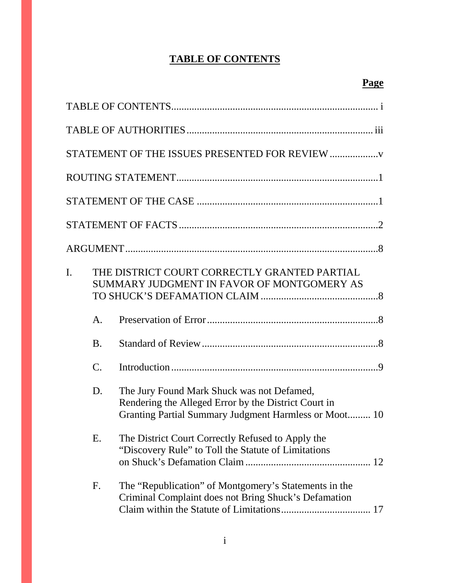# **TABLE OF CONTENTS**

|    |                 | STATEMENT OF THE ISSUES PRESENTED FOR REVIEW                                                                                                                |
|----|-----------------|-------------------------------------------------------------------------------------------------------------------------------------------------------------|
|    |                 |                                                                                                                                                             |
|    |                 |                                                                                                                                                             |
|    |                 |                                                                                                                                                             |
|    |                 |                                                                                                                                                             |
| I. |                 | THE DISTRICT COURT CORRECTLY GRANTED PARTIAL<br>SUMMARY JUDGMENT IN FAVOR OF MONTGOMERY AS                                                                  |
|    | A.              |                                                                                                                                                             |
|    | B.              |                                                                                                                                                             |
|    | $\mathcal{C}$ . |                                                                                                                                                             |
|    | D.              | The Jury Found Mark Shuck was not Defamed,<br>Rendering the Alleged Error by the District Court in<br>Granting Partial Summary Judgment Harmless or Moot 10 |
|    | E.              | The District Court Correctly Refused to Apply the<br>"Discovery Rule" to Toll the Statute of Limitations                                                    |
|    | F.              | The "Republication" of Montgomery's Statements in the<br>Criminal Complaint does not Bring Shuck's Defamation                                               |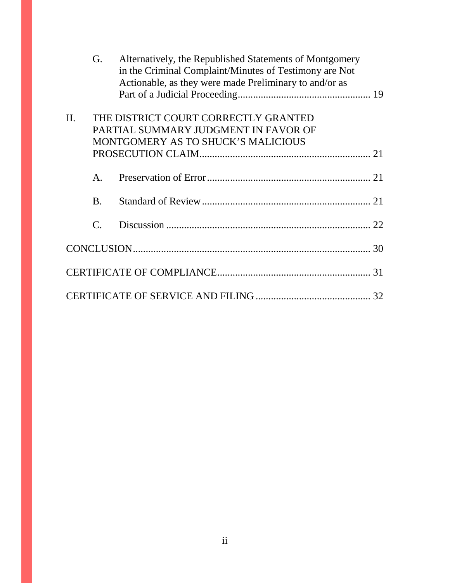|         | G.                                                                                                                 | Alternatively, the Republished Statements of Montgomery<br>in the Criminal Complaint/Minutes of Testimony are Not<br>Actionable, as they were made Preliminary to and/or as |  |
|---------|--------------------------------------------------------------------------------------------------------------------|-----------------------------------------------------------------------------------------------------------------------------------------------------------------------------|--|
|         |                                                                                                                    |                                                                                                                                                                             |  |
| $\Pi$ . | THE DISTRICT COURT CORRECTLY GRANTED<br>PARTIAL SUMMARY JUDGMENT IN FAVOR OF<br>MONTGOMERY AS TO SHUCK'S MALICIOUS |                                                                                                                                                                             |  |
|         |                                                                                                                    |                                                                                                                                                                             |  |
|         | A.                                                                                                                 |                                                                                                                                                                             |  |
|         | <b>B.</b>                                                                                                          |                                                                                                                                                                             |  |
|         | $\mathcal{C}$ .                                                                                                    |                                                                                                                                                                             |  |
|         |                                                                                                                    |                                                                                                                                                                             |  |
|         |                                                                                                                    |                                                                                                                                                                             |  |
|         |                                                                                                                    |                                                                                                                                                                             |  |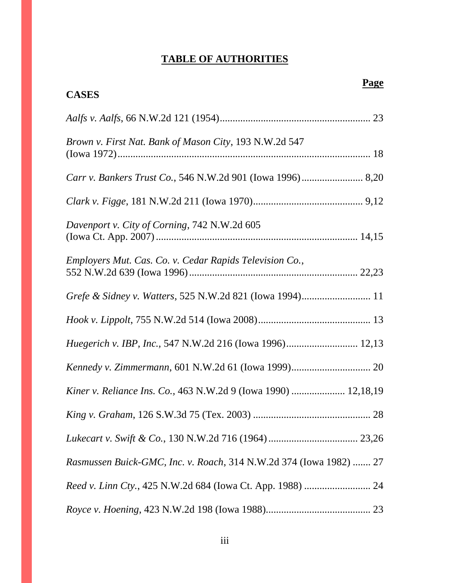# **TABLE OF AUTHORITIES**

| <b>CASES</b>                                                       |
|--------------------------------------------------------------------|
|                                                                    |
| Brown v. First Nat. Bank of Mason City, 193 N.W.2d 547             |
|                                                                    |
|                                                                    |
| Davenport v. City of Corning, 742 N.W.2d 605                       |
| Employers Mut. Cas. Co. v. Cedar Rapids Television Co.,            |
| Grefe & Sidney v. Watters, 525 N.W.2d 821 (Iowa 1994) 11           |
|                                                                    |
| Huegerich v. IBP, Inc., 547 N.W.2d 216 (Iowa 1996) 12,13           |
|                                                                    |
| Kiner v. Reliance Ins. Co., 463 N.W.2d 9 (Iowa 1990)  12,18,19     |
|                                                                    |
|                                                                    |
| Rasmussen Buick-GMC, Inc. v. Roach, 314 N.W.2d 374 (Iowa 1982)  27 |
|                                                                    |
|                                                                    |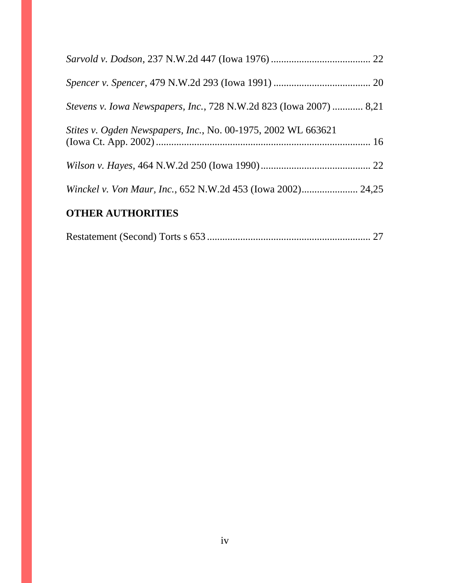| <b>OTHER AUTHORITIES</b>                                           |  |
|--------------------------------------------------------------------|--|
|                                                                    |  |
|                                                                    |  |
| Stites v. Ogden Newspapers, Inc., No. 00-1975, 2002 WL 663621      |  |
| Stevens v. Iowa Newspapers, Inc., 728 N.W.2d 823 (Iowa 2007)  8,21 |  |
|                                                                    |  |
|                                                                    |  |

|--|--|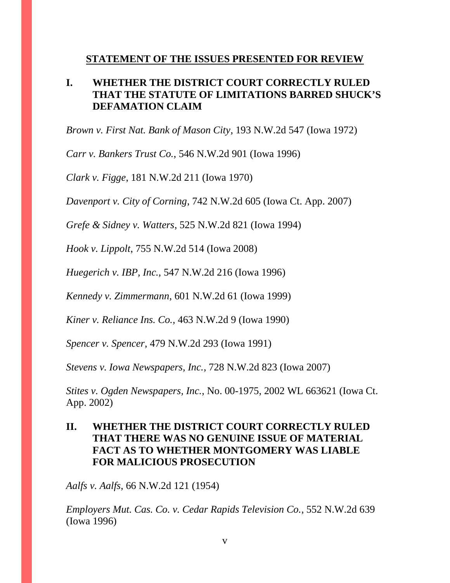#### **STATEMENT OF THE ISSUES PRESENTED FOR REVIEW**

# **I. WHETHER THE DISTRICT COURT CORRECTLY RULED THAT THE STATUTE OF LIMITATIONS BARRED SHUCK'S DEFAMATION CLAIM**

*Brown v. First Nat. Bank of Mason City*, 193 N.W.2d 547 (Iowa 1972)

*Carr v. Bankers Trust Co.*, 546 N.W.2d 901 (Iowa 1996)

*Clark v. Figge*, 181 N.W.2d 211 (Iowa 1970)

*Davenport v. City of Corning*, 742 N.W.2d 605 (Iowa Ct. App. 2007)

*Grefe & Sidney v. Watters*, 525 N.W.2d 821 (Iowa 1994)

*Hook v. Lippolt*, 755 N.W.2d 514 (Iowa 2008)

*Huegerich v. IBP, Inc.,* 547 N.W.2d 216 (Iowa 1996)

*Kennedy v. Zimmermann*, 601 N.W.2d 61 (Iowa 1999)

*Kiner v. Reliance Ins. Co.,* 463 N.W.2d 9 (Iowa 1990)

*Spencer v. Spencer*, 479 N.W.2d 293 (Iowa 1991)

*Stevens v. Iowa Newspapers, Inc.*, 728 N.W.2d 823 (Iowa 2007)

*Stites v. Ogden Newspapers, Inc.*, No. 00-1975, 2002 WL 663621 (Iowa Ct. App. 2002)

# **II. WHETHER THE DISTRICT COURT CORRECTLY RULED THAT THERE WAS NO GENUINE ISSUE OF MATERIAL FACT AS TO WHETHER MONTGOMERY WAS LIABLE FOR MALICIOUS PROSECUTION**

*Aalfs v. Aalfs*, 66 N.W.2d 121 (1954)

*Employers Mut. Cas. Co. v. Cedar Rapids Television Co.*, 552 N.W.2d 639 (Iowa 1996)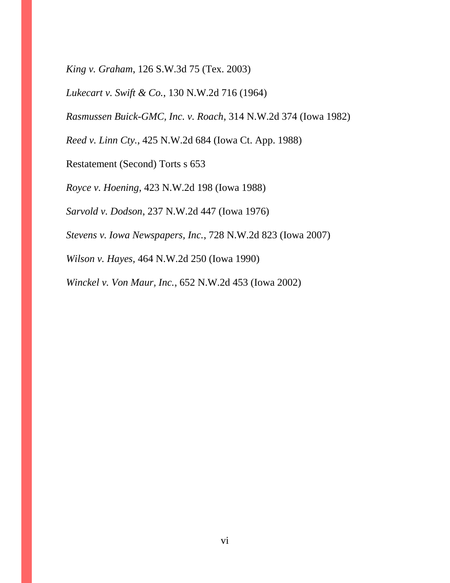*King v. Graham*, 126 S.W.3d 75 (Tex. 2003)

*Lukecart v. Swift & Co.*, 130 N.W.2d 716 (1964)

*Rasmussen Buick-GMC, Inc. v. Roach*, 314 N.W.2d 374 (Iowa 1982)

*Reed v. Linn Cty.*, 425 N.W.2d 684 (Iowa Ct. App. 1988)

Restatement (Second) Torts s 653

*Royce v. Hoening*, 423 N.W.2d 198 (Iowa 1988)

*Sarvold v. Dodson*, 237 N.W.2d 447 (Iowa 1976)

*Stevens v. Iowa Newspapers, Inc.*, 728 N.W.2d 823 (Iowa 2007)

*Wilson v. Hayes,* 464 N.W.2d 250 (Iowa 1990)

*Winckel v. Von Maur, Inc.*, 652 N.W.2d 453 (Iowa 2002)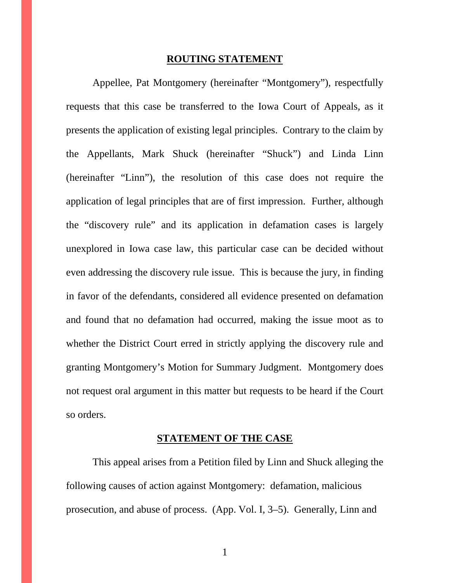#### **ROUTING STATEMENT**

Appellee, Pat Montgomery (hereinafter "Montgomery"), respectfully requests that this case be transferred to the Iowa Court of Appeals, as it presents the application of existing legal principles. Contrary to the claim by the Appellants, Mark Shuck (hereinafter "Shuck") and Linda Linn (hereinafter "Linn"), the resolution of this case does not require the application of legal principles that are of first impression. Further, although the "discovery rule" and its application in defamation cases is largely unexplored in Iowa case law, this particular case can be decided without even addressing the discovery rule issue. This is because the jury, in finding in favor of the defendants, considered all evidence presented on defamation and found that no defamation had occurred, making the issue moot as to whether the District Court erred in strictly applying the discovery rule and granting Montgomery's Motion for Summary Judgment. Montgomery does not request oral argument in this matter but requests to be heard if the Court so orders.

#### **STATEMENT OF THE CASE**

This appeal arises from a Petition filed by Linn and Shuck alleging the following causes of action against Montgomery: defamation, malicious prosecution, and abuse of process. (App. Vol. I, 3–5). Generally, Linn and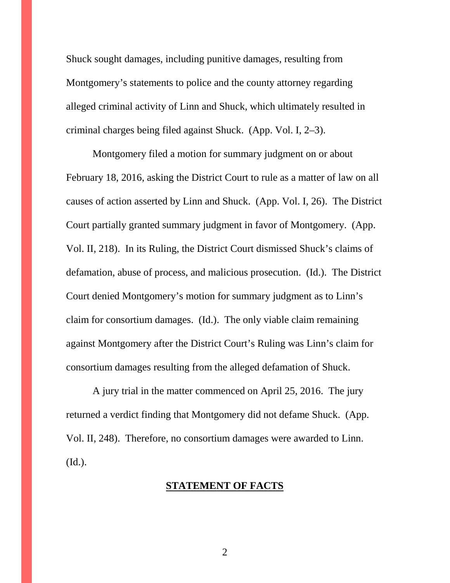Shuck sought damages, including punitive damages, resulting from Montgomery's statements to police and the county attorney regarding alleged criminal activity of Linn and Shuck, which ultimately resulted in criminal charges being filed against Shuck. (App. Vol. I, 2–3).

Montgomery filed a motion for summary judgment on or about February 18, 2016, asking the District Court to rule as a matter of law on all causes of action asserted by Linn and Shuck. (App. Vol. I, 26). The District Court partially granted summary judgment in favor of Montgomery. (App. Vol. II, 218). In its Ruling, the District Court dismissed Shuck's claims of defamation, abuse of process, and malicious prosecution. (Id.). The District Court denied Montgomery's motion for summary judgment as to Linn's claim for consortium damages. (Id.). The only viable claim remaining against Montgomery after the District Court's Ruling was Linn's claim for consortium damages resulting from the alleged defamation of Shuck.

A jury trial in the matter commenced on April 25, 2016. The jury returned a verdict finding that Montgomery did not defame Shuck. (App. Vol. II, 248). Therefore, no consortium damages were awarded to Linn. (Id.).

#### **STATEMENT OF FACTS**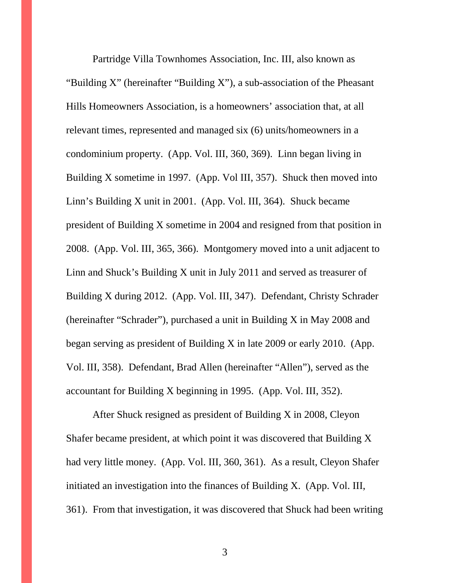Partridge Villa Townhomes Association, Inc. III, also known as "Building X" (hereinafter "Building X"), a sub-association of the Pheasant Hills Homeowners Association, is a homeowners' association that, at all relevant times, represented and managed six (6) units/homeowners in a condominium property. (App. Vol. III, 360, 369). Linn began living in Building X sometime in 1997. (App. Vol III, 357). Shuck then moved into Linn's Building X unit in 2001. (App. Vol. III, 364). Shuck became president of Building X sometime in 2004 and resigned from that position in 2008. (App. Vol. III, 365, 366). Montgomery moved into a unit adjacent to Linn and Shuck's Building X unit in July 2011 and served as treasurer of Building X during 2012. (App. Vol. III, 347). Defendant, Christy Schrader (hereinafter "Schrader"), purchased a unit in Building X in May 2008 and began serving as president of Building X in late 2009 or early 2010. (App. Vol. III, 358). Defendant, Brad Allen (hereinafter "Allen"), served as the accountant for Building X beginning in 1995. (App. Vol. III, 352).

After Shuck resigned as president of Building X in 2008, Cleyon Shafer became president, at which point it was discovered that Building X had very little money. (App. Vol. III, 360, 361). As a result, Cleyon Shafer initiated an investigation into the finances of Building X. (App. Vol. III, 361). From that investigation, it was discovered that Shuck had been writing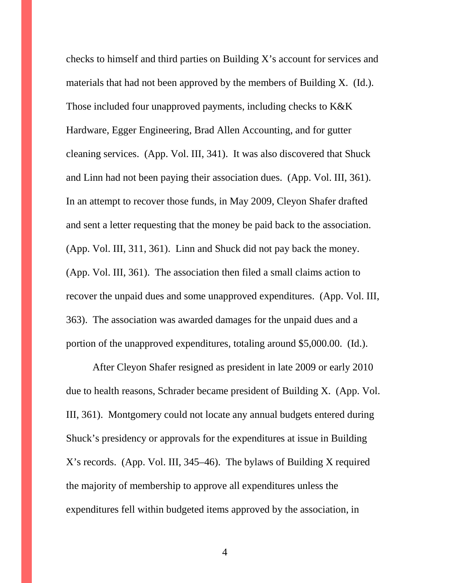checks to himself and third parties on Building X's account for services and materials that had not been approved by the members of Building X. (Id.). Those included four unapproved payments, including checks to K&K Hardware, Egger Engineering, Brad Allen Accounting, and for gutter cleaning services. (App. Vol. III, 341). It was also discovered that Shuck and Linn had not been paying their association dues. (App. Vol. III, 361). In an attempt to recover those funds, in May 2009, Cleyon Shafer drafted and sent a letter requesting that the money be paid back to the association. (App. Vol. III, 311, 361). Linn and Shuck did not pay back the money. (App. Vol. III, 361). The association then filed a small claims action to recover the unpaid dues and some unapproved expenditures. (App. Vol. III, 363). The association was awarded damages for the unpaid dues and a portion of the unapproved expenditures, totaling around \$5,000.00. (Id.).

After Cleyon Shafer resigned as president in late 2009 or early 2010 due to health reasons, Schrader became president of Building X. (App. Vol. III, 361). Montgomery could not locate any annual budgets entered during Shuck's presidency or approvals for the expenditures at issue in Building X's records. (App. Vol. III, 345–46). The bylaws of Building X required the majority of membership to approve all expenditures unless the expenditures fell within budgeted items approved by the association, in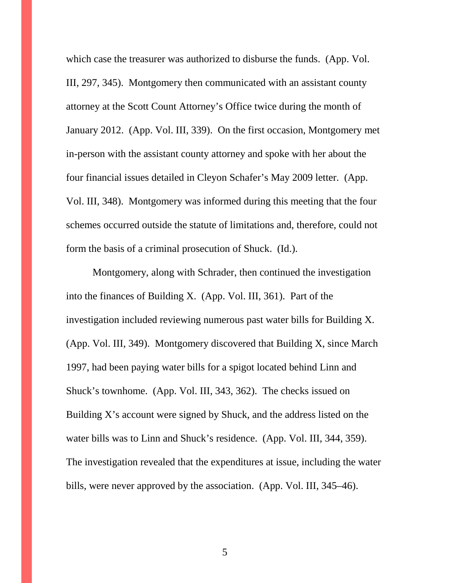which case the treasurer was authorized to disburse the funds. (App. Vol. III, 297, 345). Montgomery then communicated with an assistant county attorney at the Scott Count Attorney's Office twice during the month of January 2012. (App. Vol. III, 339). On the first occasion, Montgomery met in-person with the assistant county attorney and spoke with her about the four financial issues detailed in Cleyon Schafer's May 2009 letter. (App. Vol. III, 348). Montgomery was informed during this meeting that the four schemes occurred outside the statute of limitations and, therefore, could not form the basis of a criminal prosecution of Shuck. (Id.).

Montgomery, along with Schrader, then continued the investigation into the finances of Building X. (App. Vol. III, 361). Part of the investigation included reviewing numerous past water bills for Building X. (App. Vol. III, 349). Montgomery discovered that Building X, since March 1997, had been paying water bills for a spigot located behind Linn and Shuck's townhome. (App. Vol. III, 343, 362). The checks issued on Building X's account were signed by Shuck, and the address listed on the water bills was to Linn and Shuck's residence. (App. Vol. III, 344, 359). The investigation revealed that the expenditures at issue, including the water bills, were never approved by the association. (App. Vol. III, 345–46).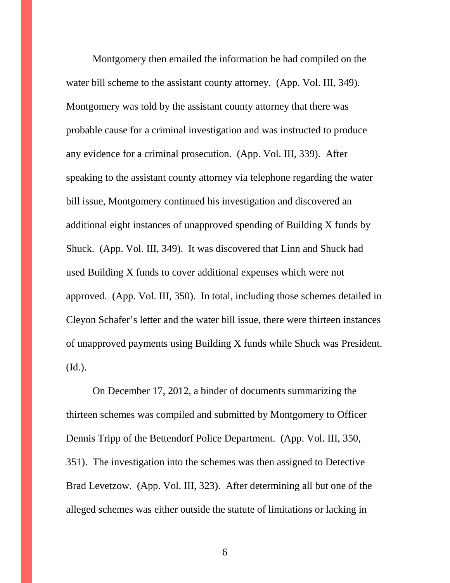Montgomery then emailed the information he had compiled on the water bill scheme to the assistant county attorney. (App. Vol. III, 349). Montgomery was told by the assistant county attorney that there was probable cause for a criminal investigation and was instructed to produce any evidence for a criminal prosecution. (App. Vol. III, 339). After speaking to the assistant county attorney via telephone regarding the water bill issue, Montgomery continued his investigation and discovered an additional eight instances of unapproved spending of Building X funds by Shuck. (App. Vol. III, 349). It was discovered that Linn and Shuck had used Building X funds to cover additional expenses which were not approved. (App. Vol. III, 350). In total, including those schemes detailed in Cleyon Schafer's letter and the water bill issue, there were thirteen instances of unapproved payments using Building X funds while Shuck was President. (Id.).

On December 17, 2012, a binder of documents summarizing the thirteen schemes was compiled and submitted by Montgomery to Officer Dennis Tripp of the Bettendorf Police Department. (App. Vol. III, 350, 351). The investigation into the schemes was then assigned to Detective Brad Levetzow. (App. Vol. III, 323). After determining all but one of the alleged schemes was either outside the statute of limitations or lacking in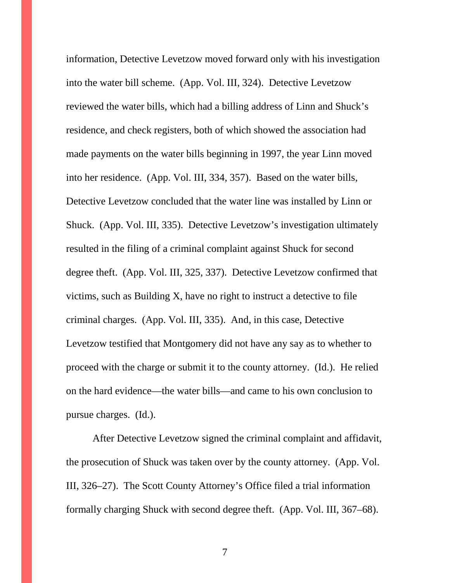information, Detective Levetzow moved forward only with his investigation into the water bill scheme. (App. Vol. III, 324). Detective Levetzow reviewed the water bills, which had a billing address of Linn and Shuck's residence, and check registers, both of which showed the association had made payments on the water bills beginning in 1997, the year Linn moved into her residence. (App. Vol. III, 334, 357). Based on the water bills, Detective Levetzow concluded that the water line was installed by Linn or Shuck. (App. Vol. III, 335). Detective Levetzow's investigation ultimately resulted in the filing of a criminal complaint against Shuck for second degree theft. (App. Vol. III, 325, 337). Detective Levetzow confirmed that victims, such as Building X, have no right to instruct a detective to file criminal charges. (App. Vol. III, 335). And, in this case, Detective Levetzow testified that Montgomery did not have any say as to whether to proceed with the charge or submit it to the county attorney. (Id.). He relied on the hard evidence—the water bills—and came to his own conclusion to pursue charges. (Id.).

After Detective Levetzow signed the criminal complaint and affidavit, the prosecution of Shuck was taken over by the county attorney. (App. Vol. III, 326–27). The Scott County Attorney's Office filed a trial information formally charging Shuck with second degree theft. (App. Vol. III, 367–68).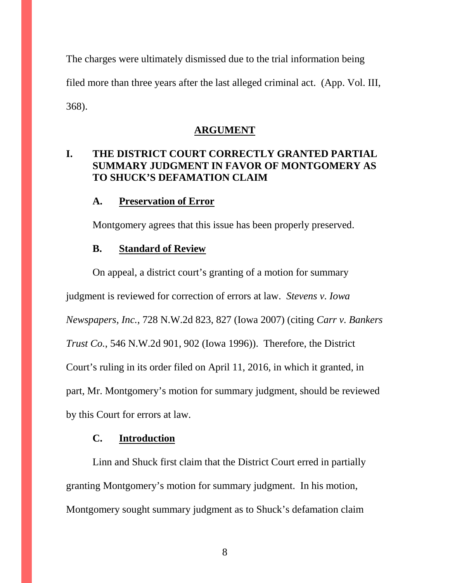The charges were ultimately dismissed due to the trial information being filed more than three years after the last alleged criminal act. (App. Vol. III, 368).

#### **ARGUMENT**

# **I. THE DISTRICT COURT CORRECTLY GRANTED PARTIAL SUMMARY JUDGMENT IN FAVOR OF MONTGOMERY AS TO SHUCK'S DEFAMATION CLAIM**

#### **A. Preservation of Error**

Montgomery agrees that this issue has been properly preserved.

## **B. Standard of Review**

On appeal, a district court's granting of a motion for summary judgment is reviewed for correction of errors at law. *Stevens v. Iowa Newspapers, Inc.*, 728 N.W.2d 823, 827 (Iowa 2007) (citing *Carr v. Bankers Trust Co.*, 546 N.W.2d 901, 902 (Iowa 1996)). Therefore, the District Court's ruling in its order filed on April 11, 2016, in which it granted, in part, Mr. Montgomery's motion for summary judgment, should be reviewed by this Court for errors at law.

#### **C. Introduction**

Linn and Shuck first claim that the District Court erred in partially granting Montgomery's motion for summary judgment. In his motion, Montgomery sought summary judgment as to Shuck's defamation claim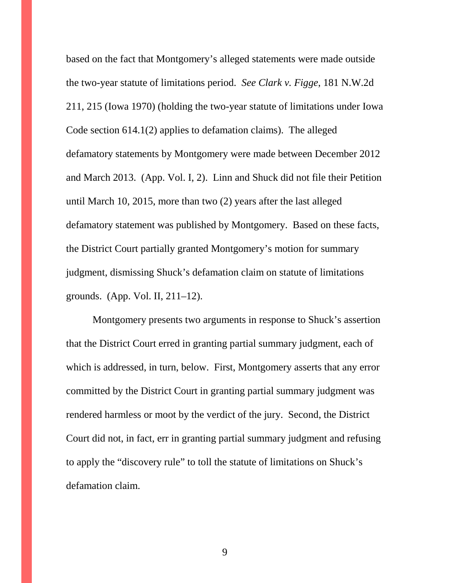based on the fact that Montgomery's alleged statements were made outside the two-year statute of limitations period. *See Clark v. Figge*, 181 N.W.2d 211, 215 (Iowa 1970) (holding the two-year statute of limitations under Iowa Code section 614.1(2) applies to defamation claims). The alleged defamatory statements by Montgomery were made between December 2012 and March 2013. (App. Vol. I, 2). Linn and Shuck did not file their Petition until March 10, 2015, more than two (2) years after the last alleged defamatory statement was published by Montgomery. Based on these facts, the District Court partially granted Montgomery's motion for summary judgment, dismissing Shuck's defamation claim on statute of limitations grounds. (App. Vol. II, 211–12).

Montgomery presents two arguments in response to Shuck's assertion that the District Court erred in granting partial summary judgment, each of which is addressed, in turn, below. First, Montgomery asserts that any error committed by the District Court in granting partial summary judgment was rendered harmless or moot by the verdict of the jury. Second, the District Court did not, in fact, err in granting partial summary judgment and refusing to apply the "discovery rule" to toll the statute of limitations on Shuck's defamation claim.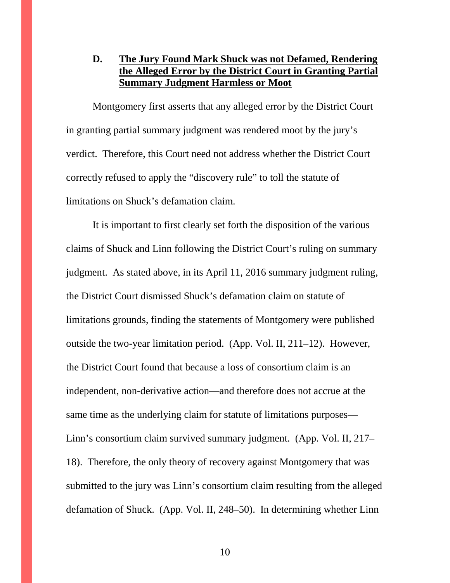# **D. The Jury Found Mark Shuck was not Defamed, Rendering the Alleged Error by the District Court in Granting Partial Summary Judgment Harmless or Moot**

Montgomery first asserts that any alleged error by the District Court in granting partial summary judgment was rendered moot by the jury's verdict. Therefore, this Court need not address whether the District Court correctly refused to apply the "discovery rule" to toll the statute of limitations on Shuck's defamation claim.

It is important to first clearly set forth the disposition of the various claims of Shuck and Linn following the District Court's ruling on summary judgment. As stated above, in its April 11, 2016 summary judgment ruling, the District Court dismissed Shuck's defamation claim on statute of limitations grounds, finding the statements of Montgomery were published outside the two-year limitation period. (App. Vol. II, 211–12). However, the District Court found that because a loss of consortium claim is an independent, non-derivative action—and therefore does not accrue at the same time as the underlying claim for statute of limitations purposes— Linn's consortium claim survived summary judgment. (App. Vol. II, 217– 18). Therefore, the only theory of recovery against Montgomery that was submitted to the jury was Linn's consortium claim resulting from the alleged defamation of Shuck. (App. Vol. II, 248–50). In determining whether Linn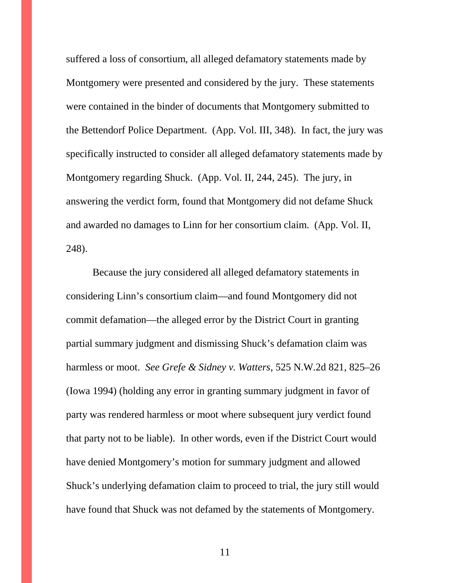suffered a loss of consortium, all alleged defamatory statements made by Montgomery were presented and considered by the jury. These statements were contained in the binder of documents that Montgomery submitted to the Bettendorf Police Department. (App. Vol. III, 348). In fact, the jury was specifically instructed to consider all alleged defamatory statements made by Montgomery regarding Shuck. (App. Vol. II, 244, 245). The jury, in answering the verdict form, found that Montgomery did not defame Shuck and awarded no damages to Linn for her consortium claim. (App. Vol. II, 248).

Because the jury considered all alleged defamatory statements in considering Linn's consortium claim—and found Montgomery did not commit defamation—the alleged error by the District Court in granting partial summary judgment and dismissing Shuck's defamation claim was harmless or moot. *See Grefe & Sidney v. Watters*, 525 N.W.2d 821, 825–26 (Iowa 1994) (holding any error in granting summary judgment in favor of party was rendered harmless or moot where subsequent jury verdict found that party not to be liable). In other words, even if the District Court would have denied Montgomery's motion for summary judgment and allowed Shuck's underlying defamation claim to proceed to trial, the jury still would have found that Shuck was not defamed by the statements of Montgomery.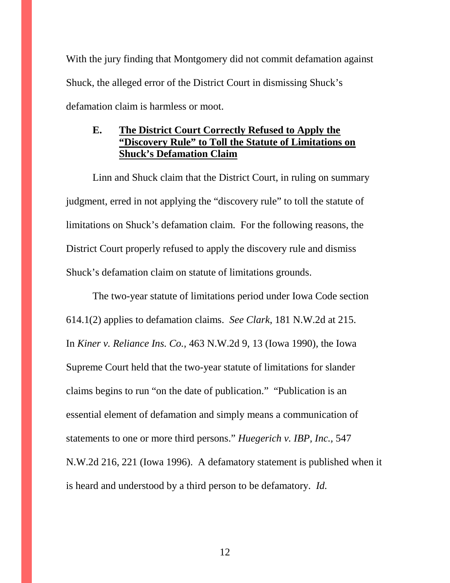With the jury finding that Montgomery did not commit defamation against Shuck, the alleged error of the District Court in dismissing Shuck's defamation claim is harmless or moot.

# **E. The District Court Correctly Refused to Apply the "Discovery Rule" to Toll the Statute of Limitations on Shuck's Defamation Claim**

Linn and Shuck claim that the District Court, in ruling on summary judgment, erred in not applying the "discovery rule" to toll the statute of limitations on Shuck's defamation claim. For the following reasons, the District Court properly refused to apply the discovery rule and dismiss Shuck's defamation claim on statute of limitations grounds.

The two-year statute of limitations period under Iowa Code section 614.1(2) applies to defamation claims. *See Clark*, 181 N.W.2d at 215. In *Kiner v. Reliance Ins. Co.,* 463 N.W.2d 9, 13 (Iowa 1990), the Iowa Supreme Court held that the two-year statute of limitations for slander claims begins to run "on the date of publication." "Publication is an essential element of defamation and simply means a communication of statements to one or more third persons." *Huegerich v. IBP, Inc.,* 547 N.W.2d 216, 221 (Iowa 1996). A defamatory statement is published when it is heard and understood by a third person to be defamatory. *Id.*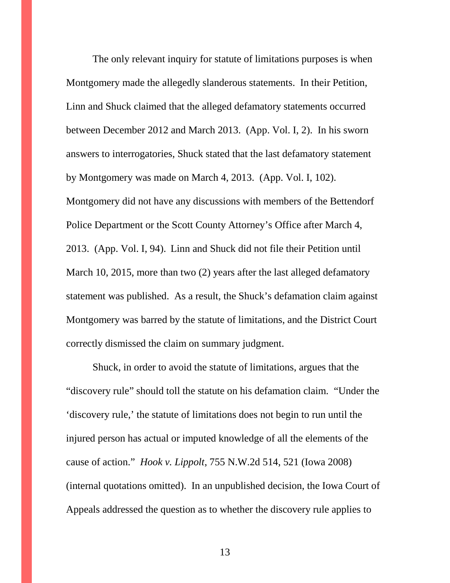The only relevant inquiry for statute of limitations purposes is when Montgomery made the allegedly slanderous statements. In their Petition, Linn and Shuck claimed that the alleged defamatory statements occurred between December 2012 and March 2013. (App. Vol. I, 2). In his sworn answers to interrogatories, Shuck stated that the last defamatory statement by Montgomery was made on March 4, 2013. (App. Vol. I, 102). Montgomery did not have any discussions with members of the Bettendorf Police Department or the Scott County Attorney's Office after March 4, 2013. (App. Vol. I, 94). Linn and Shuck did not file their Petition until March 10, 2015, more than two (2) years after the last alleged defamatory statement was published. As a result, the Shuck's defamation claim against Montgomery was barred by the statute of limitations, and the District Court correctly dismissed the claim on summary judgment.

Shuck, in order to avoid the statute of limitations, argues that the "discovery rule" should toll the statute on his defamation claim. "Under the 'discovery rule,' the statute of limitations does not begin to run until the injured person has actual or imputed knowledge of all the elements of the cause of action." *Hook v. Lippolt*, 755 N.W.2d 514, 521 (Iowa 2008) (internal quotations omitted). In an unpublished decision, the Iowa Court of Appeals addressed the question as to whether the discovery rule applies to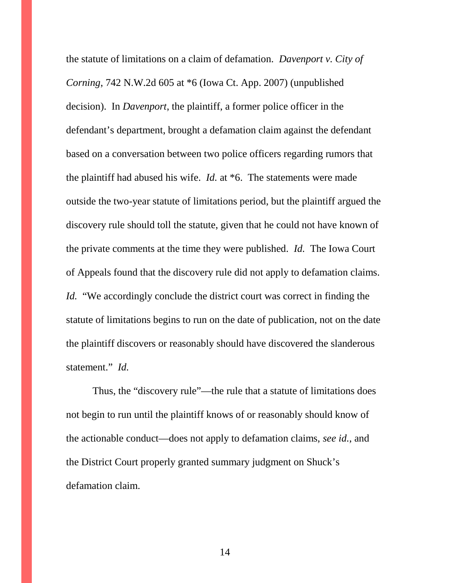the statute of limitations on a claim of defamation. *Davenport v. City of Corning*, 742 N.W.2d 605 at \*6 (Iowa Ct. App. 2007) (unpublished decision). In *Davenport*, the plaintiff, a former police officer in the defendant's department, brought a defamation claim against the defendant based on a conversation between two police officers regarding rumors that the plaintiff had abused his wife. *Id.* at \*6. The statements were made outside the two-year statute of limitations period, but the plaintiff argued the discovery rule should toll the statute, given that he could not have known of the private comments at the time they were published. *Id.* The Iowa Court of Appeals found that the discovery rule did not apply to defamation claims. *Id.* "We accordingly conclude the district court was correct in finding the statute of limitations begins to run on the date of publication, not on the date the plaintiff discovers or reasonably should have discovered the slanderous statement." *Id.*

Thus, the "discovery rule"—the rule that a statute of limitations does not begin to run until the plaintiff knows of or reasonably should know of the actionable conduct—does not apply to defamation claims, *see id.*, and the District Court properly granted summary judgment on Shuck's defamation claim.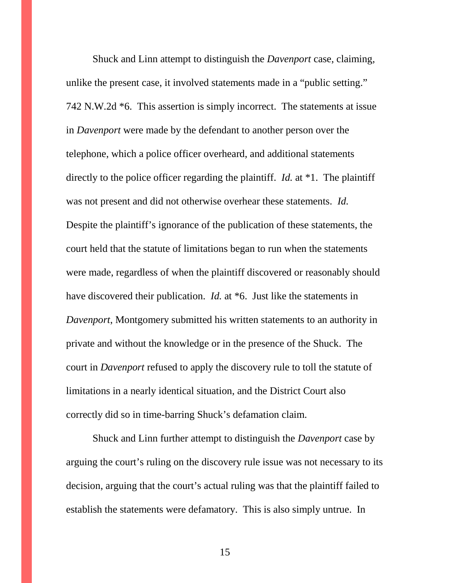Shuck and Linn attempt to distinguish the *Davenport* case, claiming, unlike the present case, it involved statements made in a "public setting." 742 N.W.2d \*6. This assertion is simply incorrect. The statements at issue in *Davenport* were made by the defendant to another person over the telephone, which a police officer overheard, and additional statements directly to the police officer regarding the plaintiff. *Id.* at \*1. The plaintiff was not present and did not otherwise overhear these statements. *Id.* Despite the plaintiff's ignorance of the publication of these statements, the court held that the statute of limitations began to run when the statements were made, regardless of when the plaintiff discovered or reasonably should have discovered their publication. *Id.* at \*6. Just like the statements in *Davenport*, Montgomery submitted his written statements to an authority in private and without the knowledge or in the presence of the Shuck. The court in *Davenport* refused to apply the discovery rule to toll the statute of limitations in a nearly identical situation, and the District Court also correctly did so in time-barring Shuck's defamation claim.

Shuck and Linn further attempt to distinguish the *Davenport* case by arguing the court's ruling on the discovery rule issue was not necessary to its decision, arguing that the court's actual ruling was that the plaintiff failed to establish the statements were defamatory. This is also simply untrue. In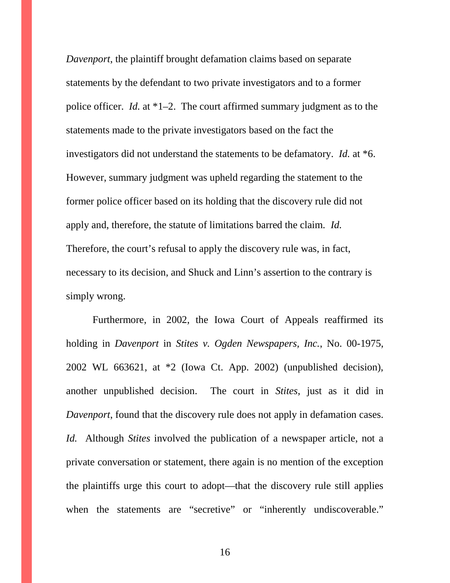*Davenport*, the plaintiff brought defamation claims based on separate statements by the defendant to two private investigators and to a former police officer. *Id.* at \*1–2. The court affirmed summary judgment as to the statements made to the private investigators based on the fact the investigators did not understand the statements to be defamatory. *Id.* at \*6. However, summary judgment was upheld regarding the statement to the former police officer based on its holding that the discovery rule did not apply and, therefore, the statute of limitations barred the claim. *Id.* Therefore, the court's refusal to apply the discovery rule was, in fact, necessary to its decision, and Shuck and Linn's assertion to the contrary is simply wrong.

Furthermore, in 2002, the Iowa Court of Appeals reaffirmed its holding in *Davenport* in *Stites v. Ogden Newspapers, Inc.*, No. 00-1975, 2002 WL 663621, at \*2 (Iowa Ct. App. 2002) (unpublished decision), another unpublished decision. The court in *Stites*, just as it did in *Davenport*, found that the discovery rule does not apply in defamation cases. *Id.* Although *Stites* involved the publication of a newspaper article, not a private conversation or statement, there again is no mention of the exception the plaintiffs urge this court to adopt—that the discovery rule still applies when the statements are "secretive" or "inherently undiscoverable."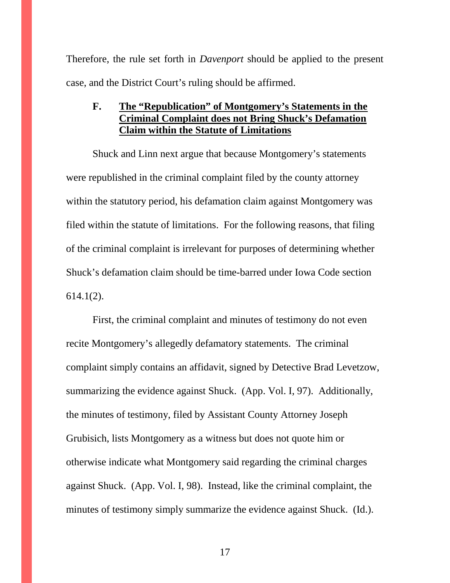Therefore, the rule set forth in *Davenport* should be applied to the present case, and the District Court's ruling should be affirmed.

# **F. The "Republication" of Montgomery's Statements in the Criminal Complaint does not Bring Shuck's Defamation Claim within the Statute of Limitations**

Shuck and Linn next argue that because Montgomery's statements were republished in the criminal complaint filed by the county attorney within the statutory period, his defamation claim against Montgomery was filed within the statute of limitations. For the following reasons, that filing of the criminal complaint is irrelevant for purposes of determining whether Shuck's defamation claim should be time-barred under Iowa Code section 614.1(2).

First, the criminal complaint and minutes of testimony do not even recite Montgomery's allegedly defamatory statements. The criminal complaint simply contains an affidavit, signed by Detective Brad Levetzow, summarizing the evidence against Shuck. (App. Vol. I, 97). Additionally, the minutes of testimony, filed by Assistant County Attorney Joseph Grubisich, lists Montgomery as a witness but does not quote him or otherwise indicate what Montgomery said regarding the criminal charges against Shuck. (App. Vol. I, 98). Instead, like the criminal complaint, the minutes of testimony simply summarize the evidence against Shuck. (Id.).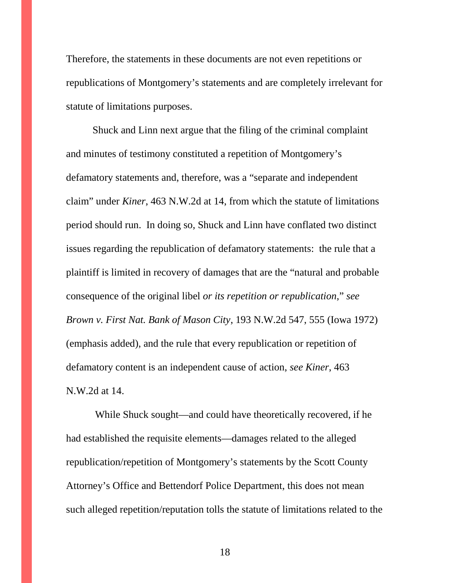Therefore, the statements in these documents are not even repetitions or republications of Montgomery's statements and are completely irrelevant for statute of limitations purposes.

Shuck and Linn next argue that the filing of the criminal complaint and minutes of testimony constituted a repetition of Montgomery's defamatory statements and, therefore, was a "separate and independent claim" under *Kiner*, 463 N.W.2d at 14, from which the statute of limitations period should run. In doing so, Shuck and Linn have conflated two distinct issues regarding the republication of defamatory statements: the rule that a plaintiff is limited in recovery of damages that are the "natural and probable consequence of the original libel *or its repetition or republication*," *see Brown v. First Nat. Bank of Mason City*, 193 N.W.2d 547, 555 (Iowa 1972) (emphasis added), and the rule that every republication or repetition of defamatory content is an independent cause of action, *see Kiner*, 463 N.W.2d at 14.

While Shuck sought—and could have theoretically recovered, if he had established the requisite elements—damages related to the alleged republication/repetition of Montgomery's statements by the Scott County Attorney's Office and Bettendorf Police Department, this does not mean such alleged repetition/reputation tolls the statute of limitations related to the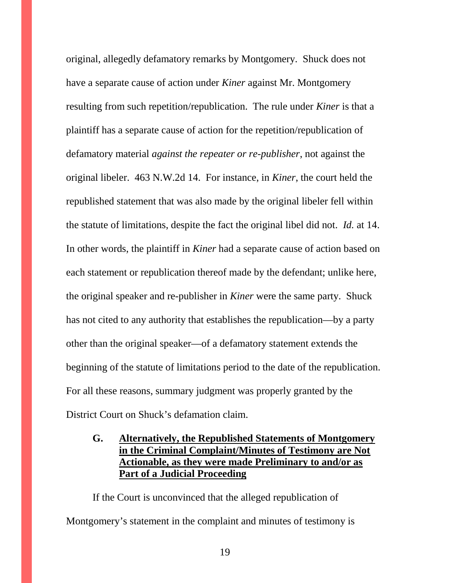original, allegedly defamatory remarks by Montgomery. Shuck does not have a separate cause of action under *Kiner* against Mr. Montgomery resulting from such repetition/republication. The rule under *Kiner* is that a plaintiff has a separate cause of action for the repetition/republication of defamatory material *against the repeater or re-publisher*, not against the original libeler. 463 N.W.2d 14. For instance, in *Kiner*, the court held the republished statement that was also made by the original libeler fell within the statute of limitations, despite the fact the original libel did not. *Id.* at 14. In other words, the plaintiff in *Kiner* had a separate cause of action based on each statement or republication thereof made by the defendant; unlike here, the original speaker and re-publisher in *Kiner* were the same party. Shuck has not cited to any authority that establishes the republication—by a party other than the original speaker—of a defamatory statement extends the beginning of the statute of limitations period to the date of the republication. For all these reasons, summary judgment was properly granted by the District Court on Shuck's defamation claim.

# **G. Alternatively, the Republished Statements of Montgomery in the Criminal Complaint/Minutes of Testimony are Not Actionable, as they were made Preliminary to and/or as Part of a Judicial Proceeding**

If the Court is unconvinced that the alleged republication of Montgomery's statement in the complaint and minutes of testimony is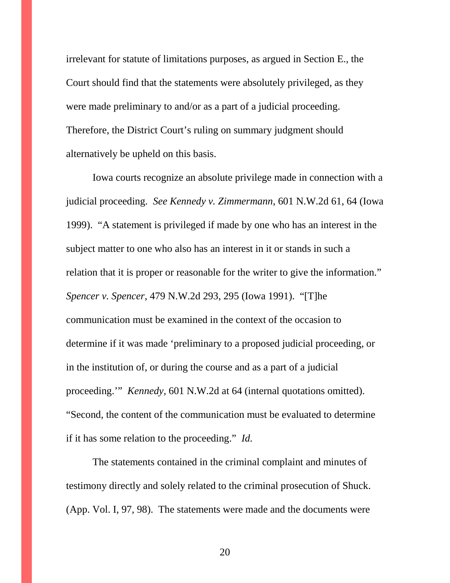irrelevant for statute of limitations purposes, as argued in Section E., the Court should find that the statements were absolutely privileged, as they were made preliminary to and/or as a part of a judicial proceeding. Therefore, the District Court's ruling on summary judgment should alternatively be upheld on this basis.

Iowa courts recognize an absolute privilege made in connection with a judicial proceeding. *See Kennedy v. Zimmermann*, 601 N.W.2d 61, 64 (Iowa 1999). "A statement is privileged if made by one who has an interest in the subject matter to one who also has an interest in it or stands in such a relation that it is proper or reasonable for the writer to give the information." *Spencer v. Spencer*, 479 N.W.2d 293, 295 (Iowa 1991). "[T]he communication must be examined in the context of the occasion to determine if it was made 'preliminary to a proposed judicial proceeding, or in the institution of, or during the course and as a part of a judicial proceeding.'" *Kennedy*, 601 N.W.2d at 64 (internal quotations omitted). "Second, the content of the communication must be evaluated to determine if it has some relation to the proceeding." *Id.*

The statements contained in the criminal complaint and minutes of testimony directly and solely related to the criminal prosecution of Shuck. (App. Vol. I, 97, 98). The statements were made and the documents were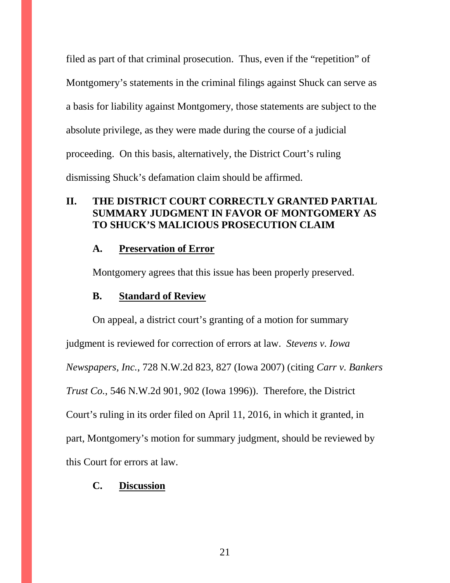filed as part of that criminal prosecution. Thus, even if the "repetition" of Montgomery's statements in the criminal filings against Shuck can serve as a basis for liability against Montgomery, those statements are subject to the absolute privilege, as they were made during the course of a judicial proceeding. On this basis, alternatively, the District Court's ruling dismissing Shuck's defamation claim should be affirmed.

# **II. THE DISTRICT COURT CORRECTLY GRANTED PARTIAL SUMMARY JUDGMENT IN FAVOR OF MONTGOMERY AS TO SHUCK'S MALICIOUS PROSECUTION CLAIM**

#### **A. Preservation of Error**

Montgomery agrees that this issue has been properly preserved.

# **B. Standard of Review**

On appeal, a district court's granting of a motion for summary judgment is reviewed for correction of errors at law. *Stevens v. Iowa Newspapers, Inc.*, 728 N.W.2d 823, 827 (Iowa 2007) (citing *Carr v. Bankers Trust Co.*, 546 N.W.2d 901, 902 (Iowa 1996)). Therefore, the District Court's ruling in its order filed on April 11, 2016, in which it granted, in part, Montgomery's motion for summary judgment, should be reviewed by this Court for errors at law.

# **C. Discussion**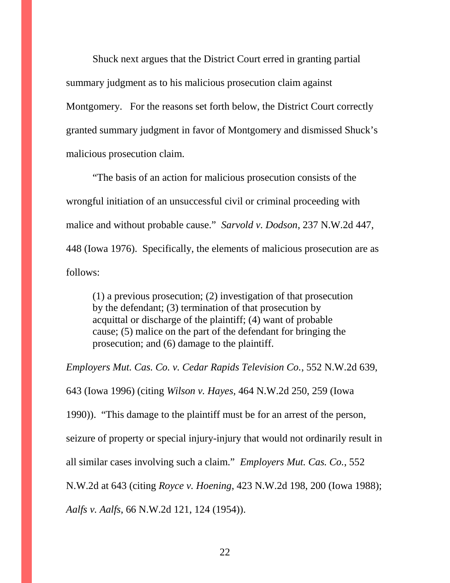Shuck next argues that the District Court erred in granting partial summary judgment as to his malicious prosecution claim against Montgomery. For the reasons set forth below, the District Court correctly granted summary judgment in favor of Montgomery and dismissed Shuck's malicious prosecution claim.

"The basis of an action for malicious prosecution consists of the wrongful initiation of an unsuccessful civil or criminal proceeding with malice and without probable cause." *Sarvold v. Dodson*, 237 N.W.2d 447, 448 (Iowa 1976). Specifically, the elements of malicious prosecution are as follows:

(1) a previous prosecution; (2) investigation of that prosecution by the defendant; (3) termination of that prosecution by acquittal or discharge of the plaintiff; (4) want of probable cause; (5) malice on the part of the defendant for bringing the prosecution; and (6) damage to the plaintiff.

*Employers Mut. Cas. Co. v. Cedar Rapids Television Co.*, 552 N.W.2d 639, 643 (Iowa 1996) (citing *Wilson v. Hayes,* 464 N.W.2d 250, 259 (Iowa 1990)). "This damage to the plaintiff must be for an arrest of the person, seizure of property or special injury-injury that would not ordinarily result in all similar cases involving such a claim." *Employers Mut. Cas. Co.*, 552 N.W.2d at 643 (citing *Royce v. Hoening*, 423 N.W.2d 198, 200 (Iowa 1988); *Aalfs v. Aalfs*, 66 N.W.2d 121, 124 (1954)).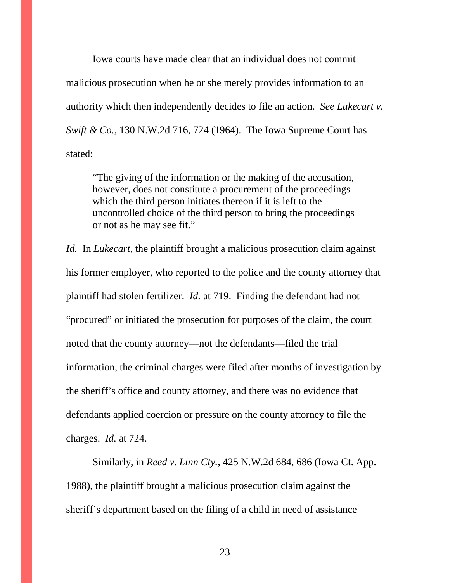Iowa courts have made clear that an individual does not commit malicious prosecution when he or she merely provides information to an authority which then independently decides to file an action. *See Lukecart v. Swift & Co.*, 130 N.W.2d 716, 724 (1964). The Iowa Supreme Court has stated:

"The giving of the information or the making of the accusation, however, does not constitute a procurement of the proceedings which the third person initiates thereon if it is left to the uncontrolled choice of the third person to bring the proceedings or not as he may see fit."

*Id.* In *Lukecart*, the plaintiff brought a malicious prosecution claim against his former employer, who reported to the police and the county attorney that plaintiff had stolen fertilizer. *Id.* at 719. Finding the defendant had not "procured" or initiated the prosecution for purposes of the claim, the court noted that the county attorney—not the defendants—filed the trial information, the criminal charges were filed after months of investigation by the sheriff's office and county attorney, and there was no evidence that defendants applied coercion or pressure on the county attorney to file the charges. *Id.* at 724.

Similarly, in *Reed v. Linn Cty.*, 425 N.W.2d 684, 686 (Iowa Ct. App. 1988), the plaintiff brought a malicious prosecution claim against the sheriff's department based on the filing of a child in need of assistance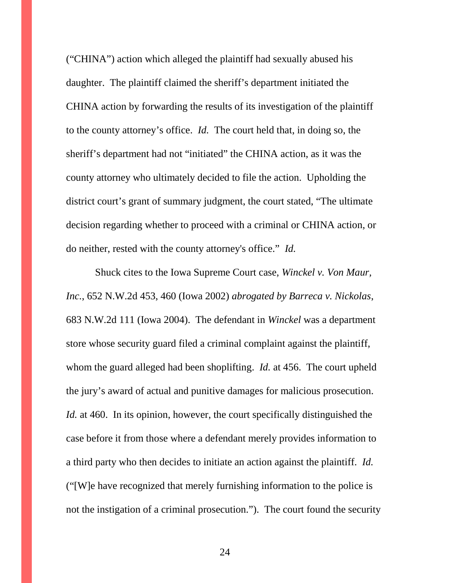("CHINA") action which alleged the plaintiff had sexually abused his daughter. The plaintiff claimed the sheriff's department initiated the CHINA action by forwarding the results of its investigation of the plaintiff to the county attorney's office. *Id.* The court held that, in doing so, the sheriff's department had not "initiated" the CHINA action, as it was the county attorney who ultimately decided to file the action. Upholding the district court's grant of summary judgment, the court stated, "The ultimate decision regarding whether to proceed with a criminal or CHINA action, or do neither, rested with the county attorney's office." *Id.*

Shuck cites to the Iowa Supreme Court case, *Winckel v. Von Maur, Inc.*, 652 N.W.2d 453, 460 (Iowa 2002) *abrogated by Barreca v. Nickolas*, 683 N.W.2d 111 (Iowa 2004). The defendant in *Winckel* was a department store whose security guard filed a criminal complaint against the plaintiff, whom the guard alleged had been shoplifting. *Id.* at 456. The court upheld the jury's award of actual and punitive damages for malicious prosecution. *Id.* at 460. In its opinion, however, the court specifically distinguished the case before it from those where a defendant merely provides information to a third party who then decides to initiate an action against the plaintiff. *Id.* ("[W]e have recognized that merely furnishing information to the police is not the instigation of a criminal prosecution."). The court found the security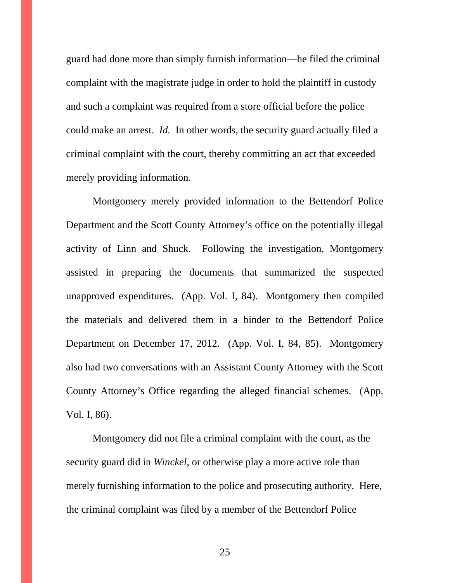guard had done more than simply furnish information—he filed the criminal complaint with the magistrate judge in order to hold the plaintiff in custody and such a complaint was required from a store official before the police could make an arrest. *Id.* In other words, the security guard actually filed a criminal complaint with the court, thereby committing an act that exceeded merely providing information.

Montgomery merely provided information to the Bettendorf Police Department and the Scott County Attorney's office on the potentially illegal activity of Linn and Shuck. Following the investigation, Montgomery assisted in preparing the documents that summarized the suspected unapproved expenditures. (App. Vol. I, 84). Montgomery then compiled the materials and delivered them in a binder to the Bettendorf Police Department on December 17, 2012. (App. Vol. I, 84, 85). Montgomery also had two conversations with an Assistant County Attorney with the Scott County Attorney's Office regarding the alleged financial schemes. (App. Vol. I, 86).

Montgomery did not file a criminal complaint with the court, as the security guard did in *Winckel*, or otherwise play a more active role than merely furnishing information to the police and prosecuting authority. Here, the criminal complaint was filed by a member of the Bettendorf Police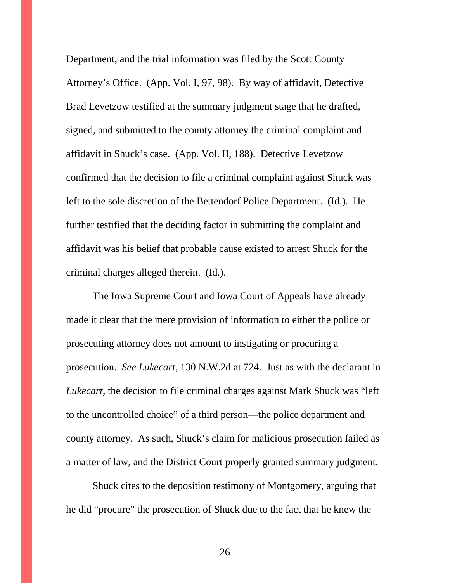Department, and the trial information was filed by the Scott County Attorney's Office. (App. Vol. I, 97, 98). By way of affidavit, Detective Brad Levetzow testified at the summary judgment stage that he drafted, signed, and submitted to the county attorney the criminal complaint and affidavit in Shuck's case. (App. Vol. II, 188). Detective Levetzow confirmed that the decision to file a criminal complaint against Shuck was left to the sole discretion of the Bettendorf Police Department. (Id.). He further testified that the deciding factor in submitting the complaint and affidavit was his belief that probable cause existed to arrest Shuck for the criminal charges alleged therein. (Id.).

The Iowa Supreme Court and Iowa Court of Appeals have already made it clear that the mere provision of information to either the police or prosecuting attorney does not amount to instigating or procuring a prosecution. *See Lukecart*, 130 N.W.2d at 724. Just as with the declarant in *Lukecart*, the decision to file criminal charges against Mark Shuck was "left to the uncontrolled choice" of a third person—the police department and county attorney. As such, Shuck's claim for malicious prosecution failed as a matter of law, and the District Court properly granted summary judgment.

Shuck cites to the deposition testimony of Montgomery, arguing that he did "procure" the prosecution of Shuck due to the fact that he knew the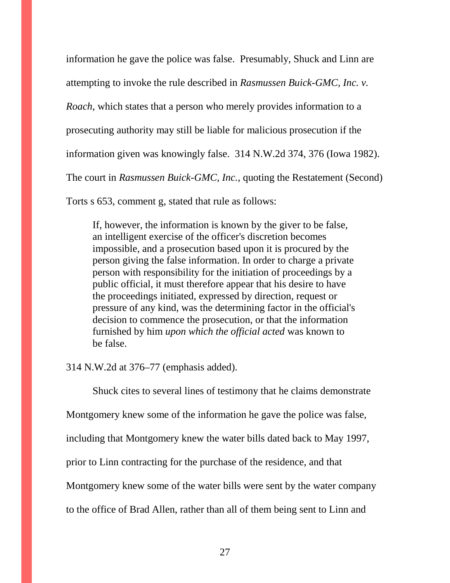information he gave the police was false. Presumably, Shuck and Linn are attempting to invoke the rule described in *Rasmussen Buick-GMC, Inc. v. Roach*, which states that a person who merely provides information to a prosecuting authority may still be liable for malicious prosecution if the information given was knowingly false. 314 N.W.2d 374, 376 (Iowa 1982). The court in *Rasmussen Buick-GMC, Inc.*, quoting the Restatement (Second)

Torts s 653, comment g, stated that rule as follows:

If, however, the information is known by the giver to be false, an intelligent exercise of the officer's discretion becomes impossible, and a prosecution based upon it is procured by the person giving the false information. In order to charge a private person with responsibility for the initiation of proceedings by a public official, it must therefore appear that his desire to have the proceedings initiated, expressed by direction, request or pressure of any kind, was the determining factor in the official's decision to commence the prosecution, or that the information furnished by him *upon which the official acted* was known to be false.

314 N.W.2d at 376–77 (emphasis added).

Shuck cites to several lines of testimony that he claims demonstrate

Montgomery knew some of the information he gave the police was false,

including that Montgomery knew the water bills dated back to May 1997,

prior to Linn contracting for the purchase of the residence, and that

Montgomery knew some of the water bills were sent by the water company

to the office of Brad Allen, rather than all of them being sent to Linn and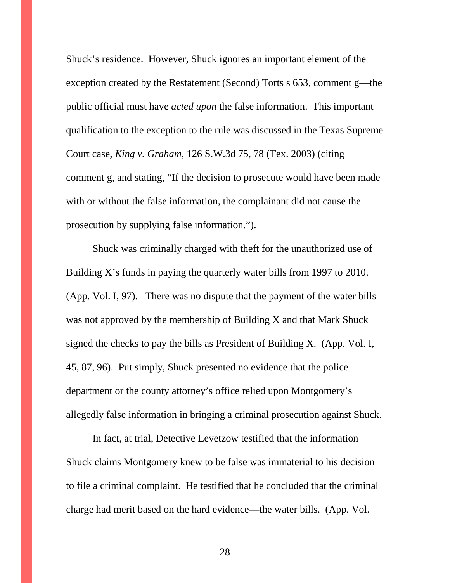Shuck's residence. However, Shuck ignores an important element of the exception created by the Restatement (Second) Torts s 653, comment g—the public official must have *acted upon* the false information. This important qualification to the exception to the rule was discussed in the Texas Supreme Court case, *King v. Graham*, 126 S.W.3d 75, 78 (Tex. 2003) (citing comment g, and stating, "If the decision to prosecute would have been made with or without the false information, the complainant did not cause the prosecution by supplying false information.").

Shuck was criminally charged with theft for the unauthorized use of Building X's funds in paying the quarterly water bills from 1997 to 2010. (App. Vol. I, 97). There was no dispute that the payment of the water bills was not approved by the membership of Building X and that Mark Shuck signed the checks to pay the bills as President of Building X. (App. Vol. I, 45, 87, 96). Put simply, Shuck presented no evidence that the police department or the county attorney's office relied upon Montgomery's allegedly false information in bringing a criminal prosecution against Shuck.

In fact, at trial, Detective Levetzow testified that the information Shuck claims Montgomery knew to be false was immaterial to his decision to file a criminal complaint. He testified that he concluded that the criminal charge had merit based on the hard evidence—the water bills. (App. Vol.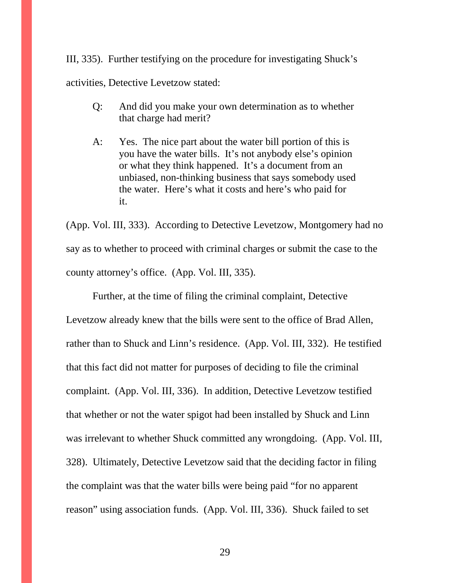III, 335). Further testifying on the procedure for investigating Shuck's activities, Detective Levetzow stated:

- Q: And did you make your own determination as to whether that charge had merit?
- A: Yes. The nice part about the water bill portion of this is you have the water bills. It's not anybody else's opinion or what they think happened. It's a document from an unbiased, non-thinking business that says somebody used the water. Here's what it costs and here's who paid for it.

(App. Vol. III, 333). According to Detective Levetzow, Montgomery had no say as to whether to proceed with criminal charges or submit the case to the county attorney's office. (App. Vol. III, 335).

Further, at the time of filing the criminal complaint, Detective Levetzow already knew that the bills were sent to the office of Brad Allen, rather than to Shuck and Linn's residence. (App. Vol. III, 332). He testified that this fact did not matter for purposes of deciding to file the criminal complaint. (App. Vol. III, 336). In addition, Detective Levetzow testified that whether or not the water spigot had been installed by Shuck and Linn was irrelevant to whether Shuck committed any wrongdoing. (App. Vol. III, 328). Ultimately, Detective Levetzow said that the deciding factor in filing the complaint was that the water bills were being paid "for no apparent reason" using association funds. (App. Vol. III, 336). Shuck failed to set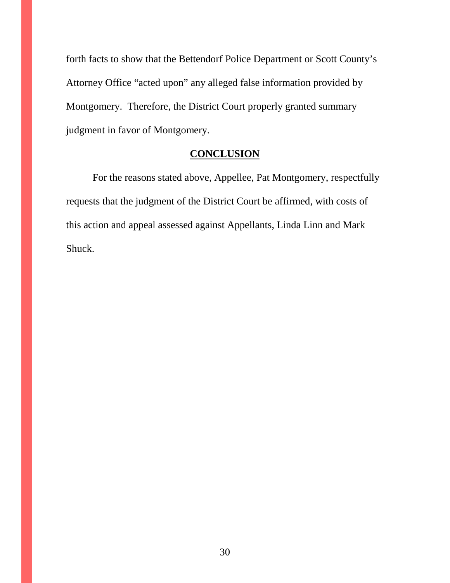forth facts to show that the Bettendorf Police Department or Scott County's Attorney Office "acted upon" any alleged false information provided by Montgomery. Therefore, the District Court properly granted summary judgment in favor of Montgomery.

## **CONCLUSION**

For the reasons stated above, Appellee, Pat Montgomery, respectfully requests that the judgment of the District Court be affirmed, with costs of this action and appeal assessed against Appellants, Linda Linn and Mark Shuck.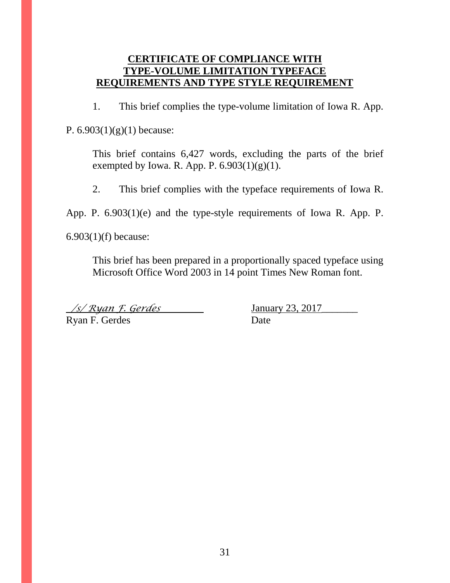# **CERTIFICATE OF COMPLIANCE WITH TYPE-VOLUME LIMITATION TYPEFACE REQUIREMENTS AND TYPE STYLE REQUIREMENT**

1. This brief complies the type-volume limitation of Iowa R. App.

P.  $6.903(1)(g)(1)$  because:

This brief contains 6,427 words, excluding the parts of the brief exempted by Iowa. R. App. P.  $6.903(1)(g)(1)$ .

2. This brief complies with the typeface requirements of Iowa R.

App. P. 6.903(1)(e) and the type-style requirements of Iowa R. App. P.

6.903(1)(f) because:

This brief has been prepared in a proportionally spaced typeface using Microsoft Office Word 2003 in 14 point Times New Roman font.

 $\frac{1}{s}$  /s/ Ryan F. Gerdes January 23, 2017

Ryan F. Gerdes Date